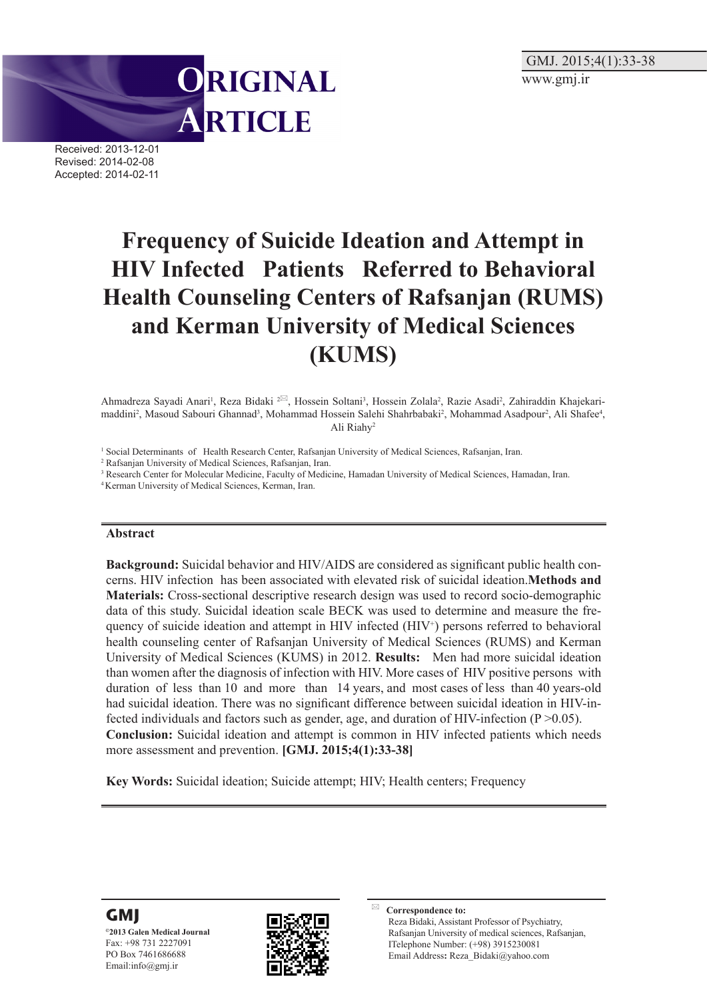GMJ. 2015;4(1):33-38 www.gmj.ir



Received: 2013-12-01 Revised: 2014-02-08 Accepted: 2014-02-11

# **Frequency of Suicide Ideation and Attempt in HIV Infected Patients Referred to Behavioral Health Counseling Centers of Rafsanjan (RUMS) and Kerman University of Medical Sciences (KUMS)**

Ahmadreza Sayadi Anari<sup>1</sup>, Reza Bidaki <sup>2⊠</sup>, Hossein Soltani<sup>3</sup>, Hossein Zolala<sup>2</sup>, Razie Asadi<sup>2</sup>, Zahiraddin Khajekarimaddini<sup>2</sup>, Masoud Sabouri Ghannad<sup>3</sup>, Mohammad Hossein Salehi Shahrbabaki<sup>2</sup>, Mohammad Asadpour<sup>2</sup>, Ali Shafee<sup>4</sup>, Ali Riahy2

<sup>1</sup> Social Determinants of Health Research Center, Rafsanjan University of Medical Sciences, Rafsanjan, Iran.

2 Rafsanjan University of Medical Sciences, Rafsanjan, Iran.

<sup>3</sup> Research Center for Molecular Medicine, Faculty of Medicine, Hamadan University of Medical Sciences, Hamadan, Iran.

4 Kerman University of Medical Sciences, Kerman, Iran.

#### **Abstract**

**Background:** Suicidal behavior and HIV/AIDS are considered as significant public health concerns. HIV infection has been associated with elevated risk of suicidal ideation.**Methods and Materials:** Cross-sectional descriptive research design was used to record socio-demographic data of this study. Suicidal ideation scale BECK was used to determine and measure the frequency of suicide ideation and attempt in HIV infected (HIV<sup>+</sup>) persons referred to behavioral health counseling center of Rafsanjan University of Medical Sciences (RUMS) and Kerman University of Medical Sciences (KUMS) in 2012. **Results:** Men had more suicidal ideation than women after the diagnosis of infection with HIV. More cases of HIV positive persons with duration of less than 10 and more than 14 years, and most cases of less than 40 years-old had suicidal ideation. There was no significant difference between suicidal ideation in HIV-infected individuals and factors such as gender, age, and duration of HIV-infection  $(P > 0.05)$ . **Conclusion:** Suicidal ideation and attempt is common in HIV infected patients which needs more assessment and prevention. **[GMJ. 2015;4(1):33-38]**

**Key Words:** Suicidal ideation; Suicide attempt; HIV; Health centers; Frequency





**Correspondence to:** Reza Bidaki, Assistant Professor of Psychiatry, Rafsanjan University of medical sciences, Rafsanjan, ITelephone Number: (+98) 3915230081 Email Address**:** Reza\_Bidaki@yahoo.com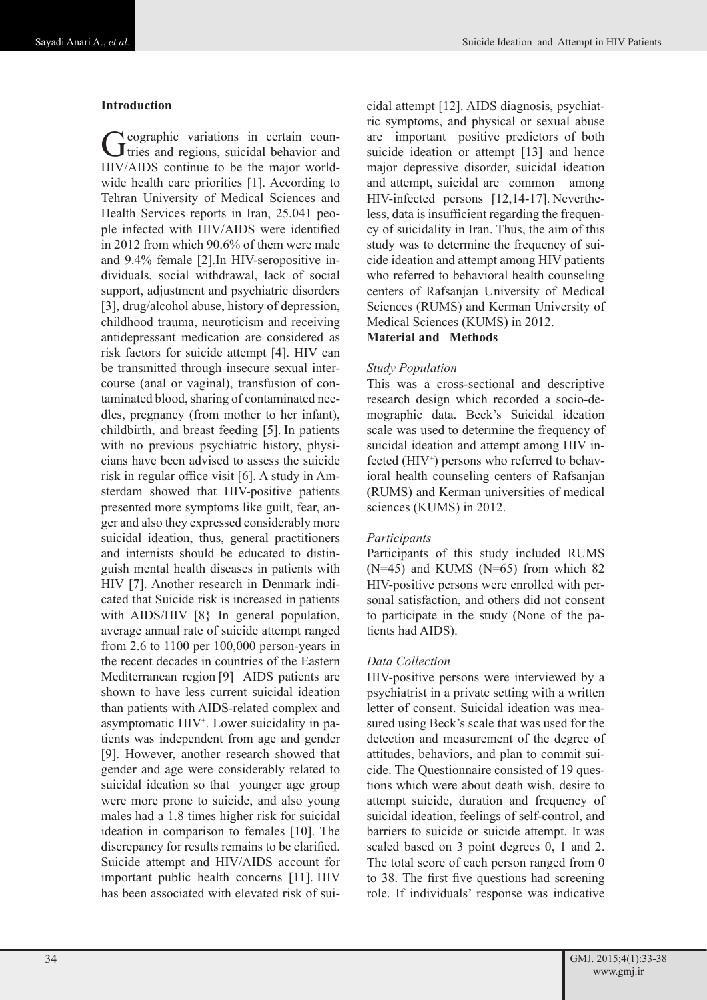## **Introduction**

Geographic variations in certain coun-<br>tries and regions, suicidal behavior and HIV/AIDS continue to be the major worldwide health care priorities [1]. According to Tehran University of Medical Sciences and Health Services reports in Iran, 25,041 people infected with HIV/AIDS were identified in 2012 from which 90.6% of them were male and 9.4% female [2].In HIV-seropositive individuals, social withdrawal, lack of social support, adjustment and psychiatric disorders [3], drug/alcohol abuse, history of depression, childhood trauma, neuroticism and receiving antidepressant medication are considered as risk factors for suicide attempt [4]. HIV can be transmitted through insecure sexual intercourse (anal or vaginal), transfusion of contaminated blood, sharing of contaminated needles, pregnancy (from mother to her infant), childbirth, and breast feeding [5]. In patients with no previous psychiatric history, physicians have been advised to assess the suicide risk in regular office visit [6]. A study in Amsterdam showed that HIV-positive patients presented more symptoms like guilt, fear, anger and also they expressed considerably more suicidal ideation, thus, general practitioners and internists should be educated to distinguish mental health diseases in patients with HIV [7]. Another research in Denmark indicated that Suicide risk is increased in patients with AIDS/HIV [8} In general population, average annual rate of suicide attempt ranged from 2.6 to 1100 per 100,000 person-years in the recent decades in countries of the Eastern Mediterranean region [9] AIDS patients are shown to have less current suicidal ideation than patients with AIDS-related complex and asymptomatic HIV<sup>+</sup>. Lower suicidality in patients was independent from age and gender [9]. However, another research showed that gender and age were considerably related to suicidal ideation so that younger age group were more prone to suicide, and also young males had a 1.8 times higher risk for suicidal ideation in comparison to females [10]. The discrepancy for results remains to be clarified. Suicide attempt and HIV/AIDS account for important public health concerns [11]. HIV has been associated with elevated risk of suicidal attempt [12]. AIDS diagnosis, psychiatric symptoms, and physical or sexual abuse are important positive predictors of both suicide ideation or attempt [13] and hence major depressive disorder, suicidal ideation and attempt, suicidal are common among HIV-infected persons [12,14-17]. Nevertheless, data is insufficient regarding the frequency of suicidality in Iran. Thus, the aim of this study was to determine the frequency of suicide ideation and attempt among HIV patients who referred to behavioral health counseling centers of Rafsanjan University of Medical Sciences (RUMS) and Kerman University of Medical Sciences (KUMS) in 2012.

## **Material and Methods**

## *Study Population*

This was a cross-sectional and descriptive research design which recorded a socio-demographic data. Beck's Suicidal ideation scale was used to determine the frequency of suicidal ideation and attempt among HIV infected (HIV<sup>+</sup>) persons who referred to behavioral health counseling centers of Rafsanjan (RUMS) and Kerman universities of medical sciences (KUMS) in 2012.

#### *Participants*

Participants of this study included RUMS  $(N=45)$  and KUMS  $(N=65)$  from which 82 HIV-positive persons were enrolled with personal satisfaction, and others did not consent to participate in the study (None of the patients had AIDS).

#### *Data Collection*

HIV-positive persons were interviewed by a psychiatrist in a private setting with a written letter of consent. Suicidal ideation was measured using Beck's scale that was used for the detection and measurement of the degree of attitudes, behaviors, and plan to commit suicide. The Questionnaire consisted of 19 questions which were about death wish, desire to attempt suicide, duration and frequency of suicidal ideation, feelings of self-control, and barriers to suicide or suicide attempt. It was scaled based on 3 point degrees 0, 1 and 2. The total score of each person ranged from 0 to 38. The first five questions had screening role. If individuals' response was indicative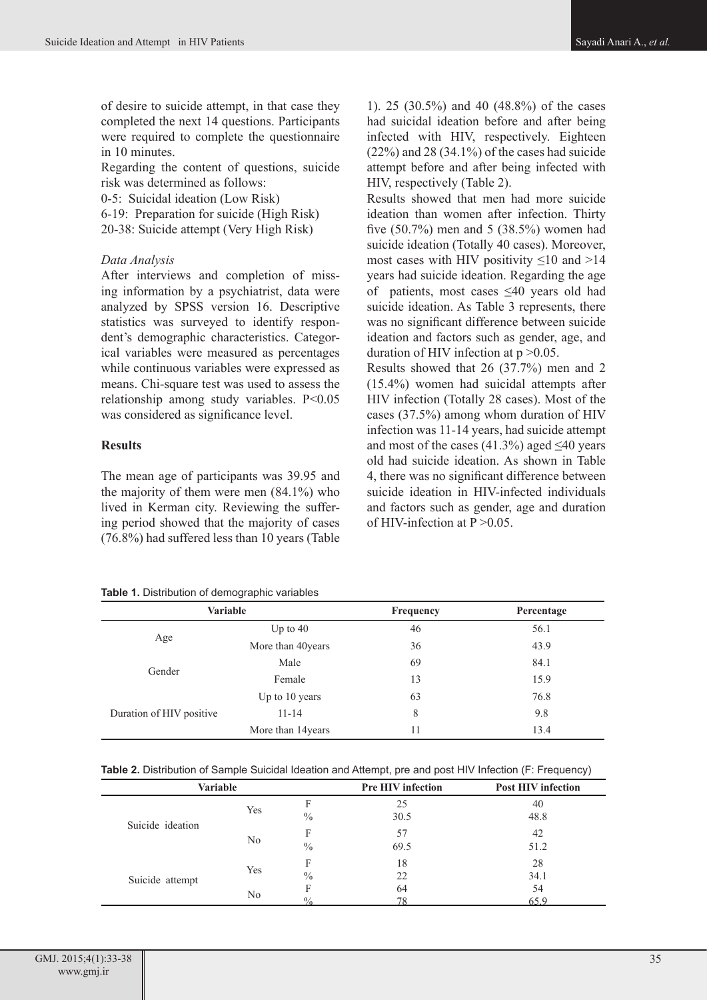of desire to suicide attempt, in that case they completed the next 14 questions. Participants were required to complete the questionnaire in 10 minutes.

Regarding the content of questions, suicide risk was determined as follows:

0-5: Suicidal ideation (Low Risk)

6-19: Preparation for suicide (High Risk) 20-38: Suicide attempt (Very High Risk)

#### *Data Analysis*

After interviews and completion of missing information by a psychiatrist, data were analyzed by SPSS version 16. Descriptive statistics was surveyed to identify respondent's demographic characteristics. Categorical variables were measured as percentages while continuous variables were expressed as means. Chi-square test was used to assess the relationship among study variables. P<0.05 was considered as significance level.

#### **Results**

The mean age of participants was 39.95 and the majority of them were men (84.1%) who lived in Kerman city. Reviewing the suffering period showed that the majority of cases (76.8%) had suffered less than 10 years (Table

**Table 1.** Distribution of demographic variables

1). 25 (30.5%) and 40 (48.8%) of the cases had suicidal ideation before and after being infected with HIV, respectively. Eighteen (22%) and 28 (34.1%) of the cases had suicide attempt before and after being infected with HIV, respectively (Table 2).

Results showed that men had more suicide ideation than women after infection. Thirty five (50.7%) men and 5 (38.5%) women had suicide ideation (Totally 40 cases). Moreover, most cases with HIV positivity  $\leq 10$  and  $>14$ years had suicide ideation. Regarding the age of patients, most cases ≤40 years old had suicide ideation. As Table 3 represents, there was no significant difference between suicide ideation and factors such as gender, age, and duration of HIV infection at  $p > 0.05$ .

Results showed that 26 (37.7%) men and 2 (15.4%) women had suicidal attempts after HIV infection (Totally 28 cases). Most of the cases (37.5%) among whom duration of HIV infection was 11-14 years, had suicide attempt and most of the cases  $(41.3\%)$  aged  $\leq 40$  years old had suicide ideation. As shown in Table 4, there was no significant difference between suicide ideation in HIV-infected individuals and factors such as gender, age and duration of HIV-infection at  $P > 0.05$ .

| Variable                 |                    | <b>Frequency</b> | Percentage |  |  |
|--------------------------|--------------------|------------------|------------|--|--|
|                          | Up to $40$         | 46               | 56.1       |  |  |
| Age                      | More than 40years  | 36               | 43.9       |  |  |
|                          | Male               | 69               | 84.1       |  |  |
| Gender                   | Female             | 13               | 15.9       |  |  |
|                          | Up to 10 years     | 63               | 76.8       |  |  |
| Duration of HIV positive | $11 - 14$          | 8                | 9.8        |  |  |
|                          | More than 14 years | 11               | 13.4       |  |  |

**Table 2.** Distribution of Sample Suicidal Ideation and Attempt, pre and post HIV Infection (F: Frequency)

| Variable         |     |               | <b>Pre HIV infection</b> | <b>Post HIV infection</b> |  |  |  |
|------------------|-----|---------------|--------------------------|---------------------------|--|--|--|
|                  | Yes | F             | 25                       | 40                        |  |  |  |
| Suicide ideation |     | $\frac{0}{0}$ | 30.5                     | 48.8                      |  |  |  |
|                  | No  | F             | 57                       | 42                        |  |  |  |
|                  |     | $\frac{0}{0}$ | 69.5                     | 51.2                      |  |  |  |
|                  | Yes | F             | 18                       | 28                        |  |  |  |
| Suicide attempt  |     | $\frac{0}{0}$ | 22                       | 34.1                      |  |  |  |
|                  | No  | F             | 64                       | 54                        |  |  |  |
|                  |     | $^{0/2}$      | 78                       | 65.9                      |  |  |  |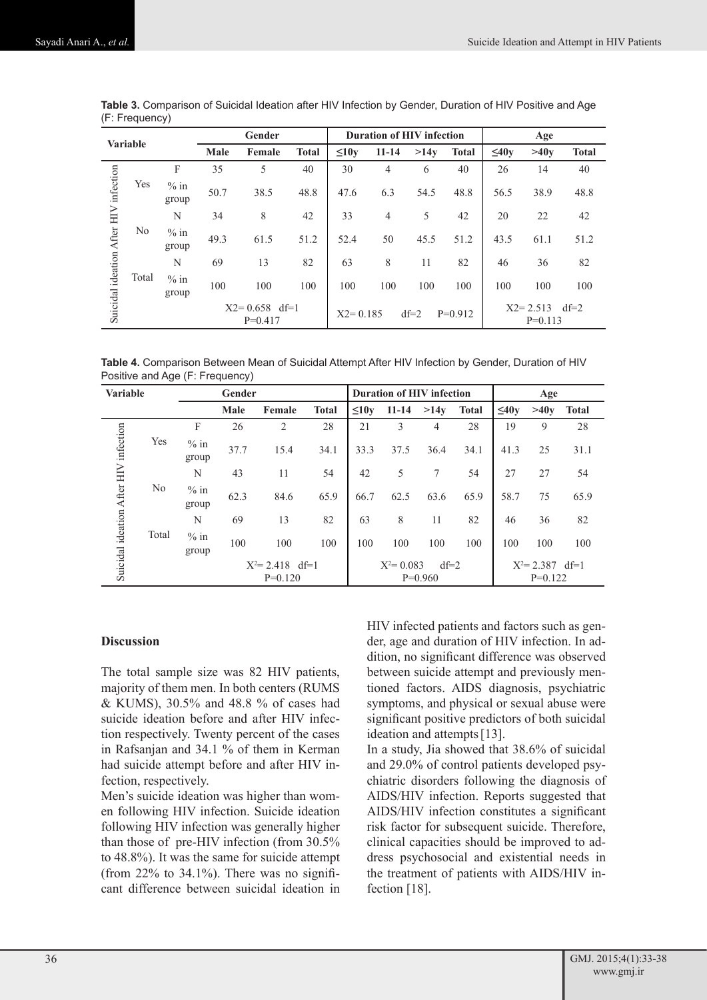| <b>Variable</b>    |       |                 | Gender |                                | <b>Duration of HIV infection</b> |                                     | Age       |      |              |                                     |      |              |
|--------------------|-------|-----------------|--------|--------------------------------|----------------------------------|-------------------------------------|-----------|------|--------------|-------------------------------------|------|--------------|
|                    |       |                 | Male   | Female                         | <b>Total</b>                     | $\leq10v$                           | $11 - 14$ | >14v | <b>Total</b> | $\leq 40y$                          | >40v | <b>Total</b> |
| infection          |       | F               | 35     | 5                              | 40                               | 30                                  | 4         | 6    | 40           | 26                                  | 14   | 40           |
|                    | Yes   | $%$ in<br>group | 50.7   | 38.5                           | 48.8                             | 47.6                                | 6.3       | 54.5 | 48.8         | 56.5                                | 38.9 | 48.8         |
| ideation After HIV | No    | N               | 34     | 8                              | 42                               | 33                                  | 4         | 5    | 42           | 20                                  | 22   | 42           |
|                    |       | $%$ in<br>group | 49.3   | 61.5                           | 51.2                             | 52.4                                | 50        | 45.5 | 51.2         | 43.5                                | 61.1 | 51.2         |
|                    | Total | N               | 69     | 13                             | 82                               | 63                                  | 8         | 11   | 82           | 46                                  | 36   | 82           |
|                    |       | $%$ in<br>group | 100    | 100                            | 100                              | 100                                 | 100       | 100  | 100          | 100                                 | 100  | 100          |
| Suicidal           |       |                 |        | $X2 = 0.658$ df=1<br>$P=0.417$ |                                  | $df=2$<br>$X2 = 0.185$<br>$P=0.912$ |           |      |              | $df=2$<br>$X2 = 2.513$<br>$P=0.113$ |      |              |

**Table 3.** Comparison of Suicidal Ideation after HIV Infection by Gender, Duration of HIV Positive and Age (F: Frequency)

**Table 4.** Comparison Between Mean of Suicidal Attempt After HIV Infection by Gender, Duration of HIV Positive and Age (F: Frequency)

| <b>Variable</b>                       |       | Gender             |      |           |              | <b>Duration of HIV infection</b> |           |           |                    | Age        |      |              |
|---------------------------------------|-------|--------------------|------|-----------|--------------|----------------------------------|-----------|-----------|--------------------|------------|------|--------------|
|                                       |       |                    | Male | Female    | <b>Total</b> | $\leq10y$                        | $11 - 14$ | >14v      | <b>Total</b>       | $\leq 40v$ | >40y | <b>Total</b> |
| Suicidal ideation After HIV infection |       | F                  | 26   | 2         | 28           | 21                               | 3         | 4         | 28                 | 19         | 9    | 28           |
|                                       | Yes   | $%$ in<br>group    | 37.7 | 15.4      | 34.1         | 33.3                             | 37.5      | 36.4      | 34.1               | 41.3       | 25   | 31.1         |
|                                       |       | N                  | 43   | 11        | 54           | 42                               | 5         | 7         | 54                 | 27         | 27   | 54           |
|                                       | No    | $%$ in<br>group    | 62.3 | 84.6      | 65.9         | 66.7                             | 62.5      | 63.6      | 65.9               | 58.7       | 75   | 65.9         |
|                                       |       | N                  | 69   | 13        | 82           | 63                               | 8         | 11        | 82                 | 46         | 36   | 82           |
|                                       | Total | $%$ in<br>group    | 100  | 100       | 100          | 100                              | 100       | 100       | 100                | 100        | 100  | 100          |
|                                       |       | $X^2 = 2.418$ df=1 |      |           |              | $X^2 = 0.083$<br>$df=2$          |           |           | $X^2 = 2.387$ df=1 |            |      |              |
| $P=0.120$                             |       |                    |      | $P=0.960$ |              |                                  |           | $P=0.122$ |                    |            |      |              |

#### **Discussion**

The total sample size was 82 HIV patients, majority of them men. In both centers (RUMS & KUMS), 30.5% and 48.8 % of cases had suicide ideation before and after HIV infection respectively. Twenty percent of the cases in Rafsanjan and 34.1 % of them in Kerman had suicide attempt before and after HIV infection, respectively.

Men's suicide ideation was higher than women following HIV infection. Suicide ideation following HIV infection was generally higher than those of pre-HIV infection (from 30.5% to 48.8%). It was the same for suicide attempt (from  $22\%$  to  $34.1\%$ ). There was no significant difference between suicidal ideation in HIV infected patients and factors such as gender, age and duration of HIV infection. In addition, no significant difference was observed between suicide attempt and previously mentioned factors. AIDS diagnosis, psychiatric symptoms, and physical or sexual abuse were significant positive predictors of both suicidal ideation and attempts[13].

In a study, Jia showed that 38.6% of suicidal and 29.0% of control patients developed psychiatric disorders following the diagnosis of AIDS/HIV infection. Reports suggested that AIDS/HIV infection constitutes a significant risk factor for subsequent suicide. Therefore, clinical capacities should be improved to address psychosocial and existential needs in the treatment of patients with AIDS/HIV infection [18].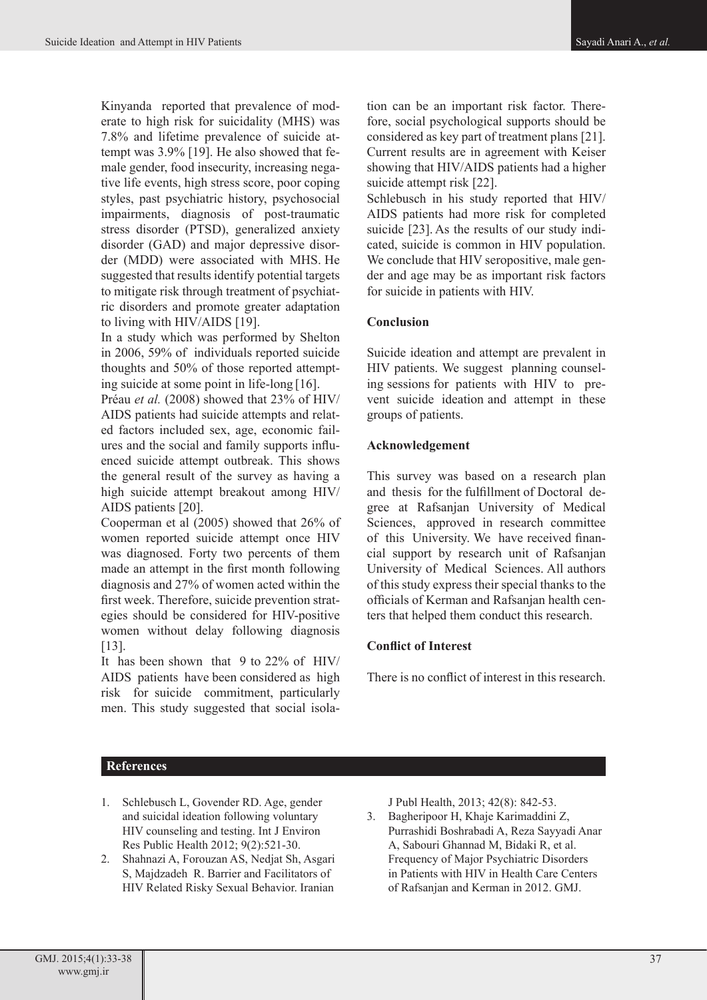[Kinyanda](http://www.ncbi.nlm.nih.gov/pubmed?term=Kinyanda E%5BAuthor%5D&cauthor=true&cauthor_uid=22713589) reported that prevalence of moderate to high risk for suicidality (MHS) was 7.8% and lifetime prevalence of suicide attempt was 3.9% [19]. He also showed that female gender, food insecurity, increasing negative life events, high stress score, poor coping styles, past psychiatric history, psychosocial impairments, diagnosis of post-traumatic stress disorder (PTSD), generalized anxiety disorder (GAD) and major depressive disorder (MDD) were associated with MHS. He suggested that results identify potential targets to mitigate risk through treatment of psychiatric disorders and promote greater adaptation to living with HIV/AIDS [19].

In a study which was performed by Shelton in 2006, 59% of individuals reported suicide thoughts and 50% of those reported attempting suicide at some point in life-long [16].

[Préau](http://www.ncbi.nlm.nih.gov/pubmed?term=Pr%C3%A9au M%5BAuthor%5D&cauthor=true&cauthor_uid=18777220) *et al.* (2008) showed that 23% of HIV/ AIDS patients had suicide attempts and related factors included sex, age, economic failures and the social and family supports influenced suicide attempt outbreak. This shows the general result of the survey as having a high suicide attempt breakout among HIV/ AIDS patients [20].

Cooperman et al (2005) showed that 26% of women reported suicide attempt once HIV was diagnosed. Forty two percents of them made an attempt in the first month following diagnosis and 27% of women acted within the first week. Therefore, suicide prevention strategies should be considered for HIV-positive women without delay following diagnosis [13].

It has been shown that 9 to 22% of HIV/ AIDS patients have been considered as high risk for suicide commitment, particularly men. This study suggested that social isolation can be an important risk factor. Therefore, social psychological supports should be considered as key part of treatment plans [21]. Current results are in agreement with Keiser showing that HIV/AIDS patients had a higher suicide attempt risk [22].

Schlebusch in his study reported that HIV/ AIDS patients had more risk for completed suicide [23]. As the results of our study indicated, suicide is common in HIV population. We conclude that HIV seropositive, male gender and age may be as important risk factors for suicide in patients with HIV.

## **Conclusion**

Suicide ideation and attempt are prevalent in HIV patients. We suggest planning counseling sessions for patients with HIV to prevent suicide ideation and attempt in these groups of patients.

## **Acknowledgement**

This survey was based on a research plan and thesis for the fulfillment of Doctoral degree at Rafsanjan University of Medical Sciences, approved in research committee of this University. We have received financial support by research unit of Rafsanjan University of Medical Sciences. All authors of this study express their special thanks to the officials of Kerman and Rafsanjan health centers that helped them conduct this research.

# **Conflict of Interest**

There is no conflict of interest in this research.

# **References**

- 1. Schlebusch L, Govender RD. Age, gender and suicidal ideation following voluntary HIV counseling and testing. Int J Environ Res Public Health 2012; 9(2):521-30.
- 2. Shahnazi A, Forouzan AS, Nedjat Sh, Asgari S, Majdzadeh R. Barrier and Facilitators of HIV Related Risky Sexual Behavior. Iranian

J Publ Health, 2013; 42(8): 842-53.

3. Bagheripoor H, Khaje Karimaddini Z, Purrashidi Boshrabadi A, Reza Sayyadi Anar A, Sabouri Ghannad M, Bidaki R, et al. Frequency of Major Psychiatric Disorders in Patients with HIV in Health Care Centers of Rafsanjan and Kerman in 2012. GMJ.